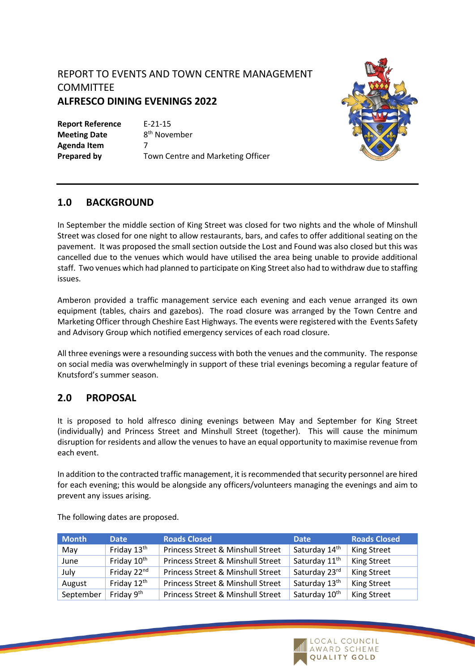# REPORT TO EVENTS AND TOWN CENTRE MANAGEMENT **COMMITTEE ALFRESCO DINING EVENINGS 2022**

**Report Reference** E-21-15 **Meeting Date Agenda Item** 7

8<sup>th</sup> November **Prepared by** Town Centre and Marketing Officer



## **1.0 BACKGROUND**

In September the middle section of King Street was closed for two nights and the whole of Minshull Street was closed for one night to allow restaurants, bars, and cafes to offer additional seating on the pavement. It was proposed the small section outside the Lost and Found was also closed but this was cancelled due to the venues which would have utilised the area being unable to provide additional staff. Two venues which had planned to participate on King Street also had to withdraw due to staffing issues.

Amberon provided a traffic management service each evening and each venue arranged its own equipment (tables, chairs and gazebos). The road closure was arranged by the Town Centre and Marketing Officer through Cheshire East Highways. The events were registered with the Events Safety and Advisory Group which notified emergency services of each road closure.

All three evenings were a resounding success with both the venues and the community. The response on social media was overwhelmingly in support of these trial evenings becoming a regular feature of Knutsford's summer season.

# **2.0 PROPOSAL**

It is proposed to hold alfresco dining evenings between May and September for King Street (individually) and Princess Street and Minshull Street (together). This will cause the minimum disruption for residents and allow the venues to have an equal opportunity to maximise revenue from each event.

In addition to the contracted traffic management, it is recommended that security personnel are hired for each evening; this would be alongside any officers/volunteers managing the evenings and aim to prevent any issues arising.

| <b>Month</b> | <b>Date</b>             | <b>Roads Closed</b>                          | <b>Date</b>               | <b>Roads Closed</b> |
|--------------|-------------------------|----------------------------------------------|---------------------------|---------------------|
| May          | Friday 13 <sup>th</sup> | <b>Princess Street &amp; Minshull Street</b> | Saturday 14 <sup>th</sup> | <b>King Street</b>  |
| June         | Friday 10 <sup>th</sup> | <b>Princess Street &amp; Minshull Street</b> | Saturday 11 <sup>th</sup> | <b>King Street</b>  |
| July         | Friday 22nd             | <b>Princess Street &amp; Minshull Street</b> | Saturday 23rd             | <b>King Street</b>  |
| August       | Friday 12 <sup>th</sup> | <b>Princess Street &amp; Minshull Street</b> | Saturday 13 <sup>th</sup> | <b>King Street</b>  |
| September    | Friday 9th              | <b>Princess Street &amp; Minshull Street</b> | Saturday 10 <sup>th</sup> | <b>King Street</b>  |

The following dates are proposed.

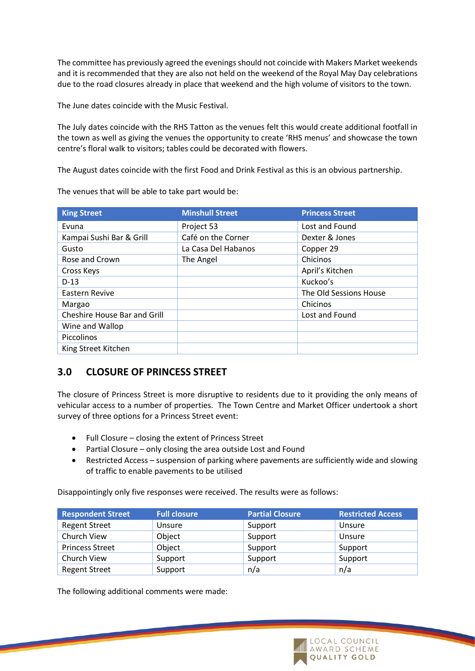The committee has previously agreed the evenings should not coincide with Makers Market weekends and it is recommended that they are also not held on the weekend of the Royal May Day celebrations due to the road closures already in place that weekend and the high volume of visitors to the town.

The June dates coincide with the Music Festival.

The July dates coincide with the RHS Tatton as the venues felt this would create additional footfall in the town as well as giving the venues the opportunity to create 'RHS menus' and showcase the town centre's floral walk to visitors; tables could be decorated with flowers.

The August dates coincide with the first Food and Drink Festival as this is an obvious partnership.

The venues that will be able to take part would be:

| <b>King Street</b>           | <b>Minshull Street</b> | <b>Princess Street</b> |
|------------------------------|------------------------|------------------------|
| Evuna                        | Project 53             | Lost and Found         |
| Kampai Sushi Bar & Grill     | Café on the Corner     | Dexter & Jones         |
| Gusto                        | La Casa Del Habanos    | Copper 29              |
| Rose and Crown               | The Angel              | Chicinos               |
| Cross Keys                   |                        | April's Kitchen        |
| $D-13$                       |                        | Kuckoo's               |
| Eastern Revive               |                        | The Old Sessions House |
| Margao                       |                        | Chicinos               |
| Cheshire House Bar and Grill |                        | Lost and Found         |
| Wine and Wallop              |                        |                        |
| <b>Piccolinos</b>            |                        |                        |
| King Street Kitchen          |                        |                        |

#### **3.0 CLOSURE OF PRINCESS STREET**

The closure of Princess Street is more disruptive to residents due to it providing the only means of vehicular access to a number of properties. The Town Centre and Market Officer undertook a short survey of three options for a Princess Street event:

- Full Closure closing the extent of Princess Street
- Partial Closure only closing the area outside Lost and Found
- Restricted Access suspension of parking where pavements are sufficiently wide and slowing of traffic to enable pavements to be utilised

Disappointingly only five responses were received. The results were as follows:

| <b>Respondent Street</b> | <b>Full closure</b> | <b>Partial Closure</b> | <b>Restricted Access</b> |
|--------------------------|---------------------|------------------------|--------------------------|
| <b>Regent Street</b>     | Unsure              | Support                | Unsure                   |
| Church View              | Object              | Support                | Unsure                   |
| <b>Princess Street</b>   | Object              | Support                | Support                  |
| Church View              | Support             | Support                | Support                  |
| <b>Regent Street</b>     | Support             | n/a                    | n/a                      |

The following additional comments were made: